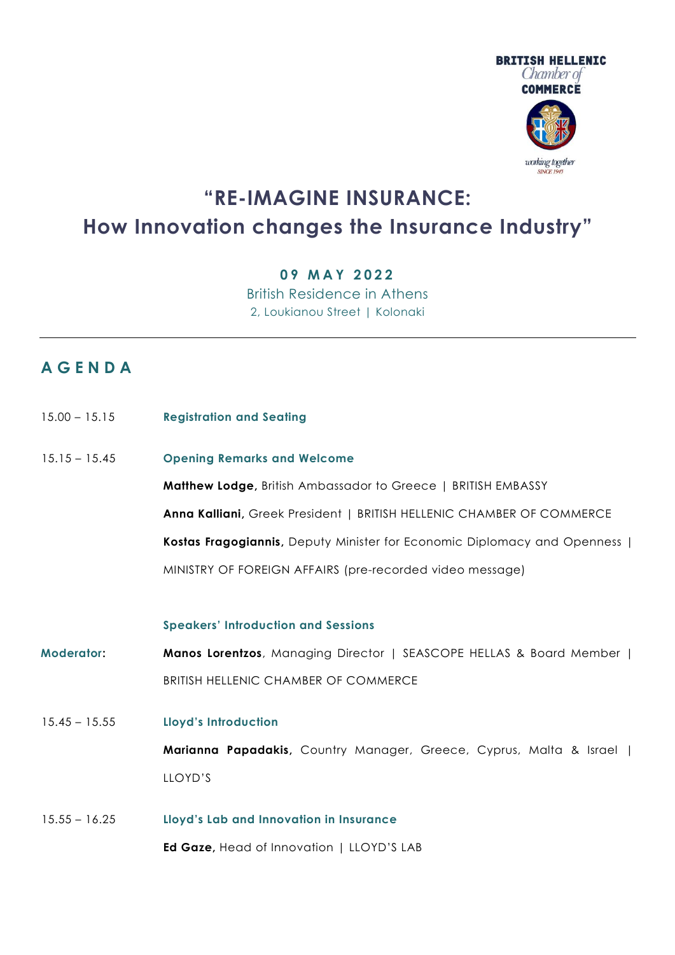

# **"RE-IMAGINE INSURANCE: How Innovation changes the Insurance Industry"**

### **0 9 MAY 2 0 2 2**

British Residence in Athens 2, Loukianou Street | Kolonaki

## **A G E N D A**

| $15.00 - 15.15$ | <b>Registration and Seating</b>                                          |
|-----------------|--------------------------------------------------------------------------|
| $15.15 - 15.45$ | <b>Opening Remarks and Welcome</b>                                       |
|                 | <b>Matthew Lodge, British Ambassador to Greece   BRITISH EMBASSY</b>     |
|                 | Anna Kalliani, Greek President   BRITISH HELLENIC CHAMBER OF COMMERCE    |
|                 | Kostas Fragogiannis, Deputy Minister for Economic Diplomacy and Openness |
|                 | MINISTRY OF FOREIGN AFFAIRS (pre-recorded video message)                 |
|                 |                                                                          |

#### **Speakers' Introduction and Sessions**

- **Moderator: Manos Lorentzos**, Managing Director | SEASCOPE HELLAS & Board Member | BRITISH HELLENIC CHAMBER OF COMMERCE
- 15.45 15.55 **Lloyd's Introduction**

**Marianna Papadakis,** Country Manager, Greece, Cyprus, Malta & Israel | LLOYD'S

15.55 – 16.25 **Lloyd's Lab and Innovation in Insurance Ed Gaze,** Head of Innovation | LLOYD'S LAB